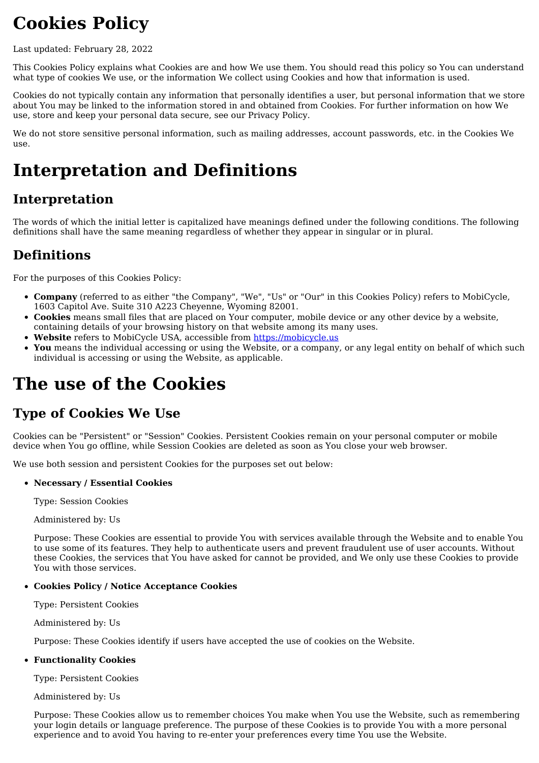# **Cookies Policy**

Last updated: February 28, 2022

This Cookies Policy explains what Cookies are and how We use them. You should read this policy so You can understand what type of cookies We use, or the information We collect using Cookies and how that information is used.

Cookies do not typically contain any information that personally identifies a user, but personal information that we store about You may be linked to the information stored in and obtained from Cookies. For further information on how We use, store and keep your personal data secure, see our Privacy Policy.

We do not store sensitive personal information, such as mailing addresses, account passwords, etc. in the Cookies We use.

# **Interpretation and Definitions**

## **Interpretation**

The words of which the initial letter is capitalized have meanings defined under the following conditions. The following definitions shall have the same meaning regardless of whether they appear in singular or in plural.

### **Definitions**

For the purposes of this Cookies Policy:

- **Company** (referred to as either "the Company", "We", "Us" or "Our" in this Cookies Policy) refers to MobiCycle, 1603 Capitol Ave. Suite 310 A223 Cheyenne, Wyoming 82001.
- **Cookies** means small files that are placed on Your computer, mobile device or any other device by a website, containing details of your browsing history on that website among its many uses.
- **Website** refers to MobiCycle USA, accessible from [https://mobicycle.us](https://mobicycle.us/)
- **You** means the individual accessing or using the Website, or a company, or any legal entity on behalf of which such individual is accessing or using the Website, as applicable.

# **The use of the Cookies**

## **Type of Cookies We Use**

Cookies can be "Persistent" or "Session" Cookies. Persistent Cookies remain on your personal computer or mobile device when You go offline, while Session Cookies are deleted as soon as You close your web browser.

We use both session and persistent Cookies for the purposes set out below:

#### **Necessary / Essential Cookies**

Type: Session Cookies

Administered by: Us

Purpose: These Cookies are essential to provide You with services available through the Website and to enable You to use some of its features. They help to authenticate users and prevent fraudulent use of user accounts. Without these Cookies, the services that You have asked for cannot be provided, and We only use these Cookies to provide You with those services.

#### **Cookies Policy / Notice Acceptance Cookies**

Type: Persistent Cookies

Administered by: Us

Purpose: These Cookies identify if users have accepted the use of cookies on the Website.

#### **Functionality Cookies**

Type: Persistent Cookies

Administered by: Us

Purpose: These Cookies allow us to remember choices You make when You use the Website, such as remembering your login details or language preference. The purpose of these Cookies is to provide You with a more personal experience and to avoid You having to re-enter your preferences every time You use the Website.